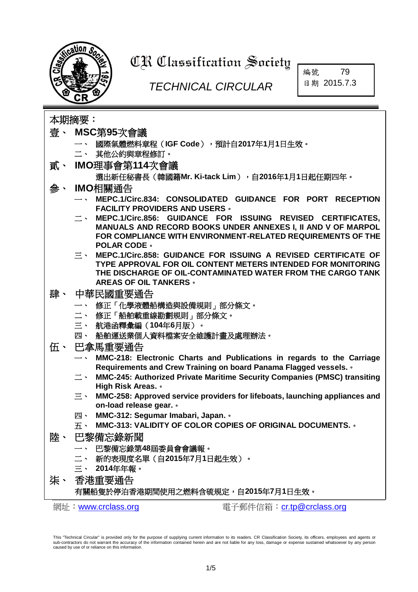

# **CR Classification Society**

## *TECHNICAL CIRCULAR*

編號 79 日期 2015.7.3

本期摘要:

- 壹、 **MSC**第**95**[次會議](#page-1-0)
	- 一、 國際氣體燃料章程(**IGF Code**),預計自**2017**年**1**月**1**日生效。
	- 二、 其他公約與章程修訂。
- 貳、 **IMO**[理事會第](#page-1-1)**114**次會議
	- 選出新任秘書長(韓國籍**Mr. Ki-tack Lim**),自**2016**年**1**月**1**日起任期四年。
- 參、 **IMO**[相關通告](#page-1-2)
	- 一、 **MEPC.1/Circ.834: CONSOLIDATED GUIDANCE FOR PORT RECEPTION FACILITY PROVIDERS AND USERS**。
	- 二、 **MEPC.1/Circ.856: GUIDANCE FOR ISSUING REVISED CERTIFICATES, MANUALS AND RECORD BOOKS UNDER ANNEXES I, II AND V OF MARPOL FOR COMPLIANCE WITH ENVIRONMENT-RELATED REQUIREMENTS OF THE POLAR CODE**。
	- 三、 **MEPC.1/Circ.858: GUIDANCE FOR ISSUING A REVISED CERTIFICATE OF TYPE APPROVAL FOR OIL CONTENT METERS INTENDED FOR MONITORING THE DISCHARGE OF OIL-CONTAMINATED WATER FROM THE CARGO TANK AREAS OF OIL TANKERS**。
- 肆、 [中華民國重要通告](#page-2-0)
	- 一、 修正「化學液體船構造與設備規則」部分條文。
	- 二、 修正「船舶載重線勘劃規則」部分條文。
	- 三、 航港函釋彙編(**104**年**6**月版)。
	- 四、 船舶運送業個人資料檔案安全維護計畫及處理辦法。
- 伍、 [巴拿馬重要通告](#page-2-1)
	- **MMC-218: Electronic Charts and Publications in regards to the Carriage Requirements and Crew Training on board Panama Flagged vessels.**。
	- 二、 **MMC-245: Authorized Private Maritime Security Companies (PMSC) transiting High Risk Areas.**。
	- 三、 **MMC-258: Approved service providers for lifeboats, launching appliances and on-load release gear.**。
	- 四、 **MMC-312: Segumar Imabari, Japan.**。
	- 五、 **MMC-313: VALIDITY OF COLOR COPIES OF ORIGINAL DOCUMENTS.**。
- 陸、 [巴黎備忘錄新聞](#page-3-0)
	- 一、 巴黎備忘錄第**48**屆委員會會議報。
	- 二、 新的表現度名單(自**2015**年**7**月**1**日起生效)。
	- 三、 **2014**年年報。
- 柒、 [香港重要通告](#page-3-1)

#### 有關船隻於停泊香港期間使用之燃料含硫規定,自**2015**年**7**月**1**日生效。

網址:[www.crclass.org](http://www.crclass.org/) 電子郵件信箱:[cr.tp@crclass.org](mailto:cr.tp@crclass.org)

This "Technical Circular" is provided only for the purpose of supplying current information to its readers. CR Classification Society, its officers, employees and agents or sub-contractors do not warrant the accuracy of the information contained herein and are not liable for any loss, damage or expense sustained whatsoever by any person caused by use of or reliance on this information.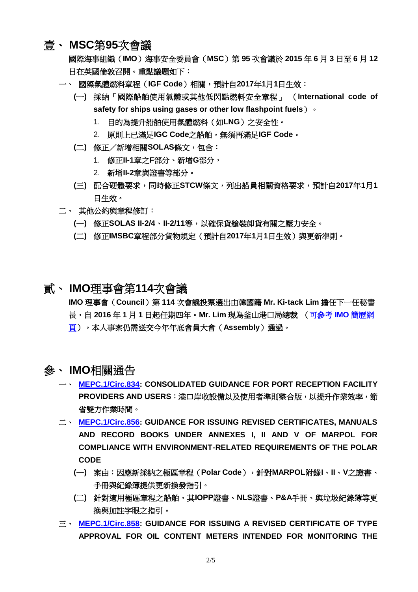#### <span id="page-1-0"></span>壹、 **MSC**第**95**次會議

國際海事組織(**IMO**)海事安全委員會(**MSC**)第 **95** 次會議於 **2015** 年 **6** 月 **3** 日至 **6** 月 **12** 日在英國倫敦召開。重點議題如下:

- 一、 國際氣體燃料章程(**IGF Code**)相關,預計自**2017**年**1**月**1**日生效:
	- **(**一**)** 採納「國際船舶使用氣體或其他低閃點燃料安全章程」 (**International code of safety for ships using gases or other low flashpoint fuels**)。
		- 1. 目的為提升船舶使用氣體燃料(如**LNG**)之安全性。
		- 2. 原則上已滿足**IGC Code**之船舶,無須再滿足**IGF Code**。
	- **(**二**)** 修正/新增相關**SOLAS**條文,包含:
		- 1. 修正**II-1**章之**F**部分、新增**G**部分,
		- 2. 新增**II-2**章與證書等部分。
	- **(**三**)** 配合硬體要求,同時修正**STCW**條文,列出船員相關資格要求,預計自**2017**年**1**月**1** 日生效。
- 二、 其他公約與章程修訂:
	- **(**一**)** 修正**SOLAS II-2/4**、**II-2/11**等,以確保貨艙裝卸貨有關之壓力安全。
	- **(**二**)** 修正**IMSBC**章程部分貨物規定(預計自**2017**年**1**月**1**日生效)與更新準則。

#### <span id="page-1-1"></span>貳、 **IMO**理事會第**114**次會議

**IMO** 理事會(**Council**)第 **114** 次會議投票選出由韓國籍 **Mr. Ki-tack Lim** 擔任下一任秘書 長,自 **2016** 年 **1** 月 **1** 日起任期四年。**Mr. Lim** 現為釜山港口局總裁 [\(可參考](http://www.imo.org/en/MediaCentre/PressBriefings/Pages/30-SG-election.aspx) **IMO** 簡歷網 [頁\)](http://www.imo.org/en/MediaCentre/PressBriefings/Pages/30-SG-election.aspx),本人事案仍需送交今年年底會員大會(**Assembly**)通過。

### <span id="page-1-2"></span>參、 **IMO**相關通告

- 一、 **[MEPC.1/Circ.834:](http://www.crclass.org/chinese/download/ti-tc/79/3-1%20MEPC.1-Circ.834%20-%20Consolidated%20Guidance%20For%20Port%20Reception%20Facility%20Providers%20And%20Users%20(Secretariat).pdf) CONSOLIDATED GUIDANCE FOR PORT RECEPTION FACILITY PROVIDERS AND USERS**:港口岸收設備以及使用者準則整合版,以提升作業效率,節 省雙方作業時間。
- 二、 **[MEPC.1/Circ.856:](http://www.crclass.org/chinese/download/ti-tc/79/3-2%20MEPC.1-Circ.856%20-%20Guidance%20For%20Issuing%20Revised%20Certificates,%20Manuals%20And%20Record%20Books%20Under%20Annexes%20I,%20Ii%20An...%20(Secretariat).pdf) GUIDANCE FOR ISSUING REVISED CERTIFICATES, MANUALS AND RECORD BOOKS UNDER ANNEXES I, II AND V OF MARPOL FOR COMPLIANCE WITH ENVIRONMENT-RELATED REQUIREMENTS OF THE POLAR CODE**
	- **(**一**)** 案由:因應新採納之極區章程(**Polar Code**),針對**MARPOL**附錄**I**、**II**、**V**之證書、 手冊與紀錄簿提供更新換發指引。
	- **(**二**)** 針對適用極區章程之船舶,其**IOPP**證書、**NLS**證書、**P&A**手冊、與垃圾紀錄簿等更 換與加註字眼之指引。
- 三、 **[MEPC.1/Circ.858:](http://www.crclass.org/chinese/download/ti-tc/79/3-3%20MEPC.1-Circ.858%20-%20Guidance%20For%20Issuing%20A%20Revised%20Certificate%20Of%20Type%20Approval%20For%20Oil%20Content%20Meters%20Intende...%20(Secretariat).pdf) GUIDANCE FOR ISSUING A REVISED CERTIFICATE OF TYPE APPROVAL FOR OIL CONTENT METERS INTENDED FOR MONITORING THE**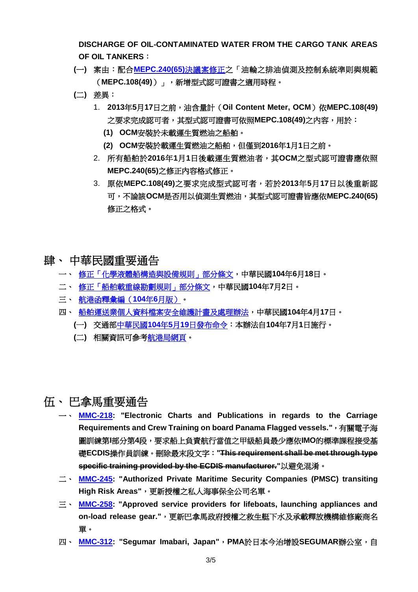**DISCHARGE OF OIL-CONTAMINATED WATER FROM THE CARGO TANK AREAS OF OIL TANKERS**:

- **(**一**)** 案由:配合**[MEPC.240\(65\)](http://www.crclass.org/chinese/download/ti-tc/70/70.pdf)**決議案修正之「油輪之排油偵測及控制系統準則與規範 (**MEPC.108(49)**)」,新增型式認可證書之適用時程。
- **(**二**)** 差異:
	- 1. **2013**年**5**月**17**日之前,油含量計(**Oil Content Meter, OCM**)依**MEPC.108(49)** 之要求完成認可者,其型式認可證書可依照**MEPC.108(49)**之內容,用於:
		- **(1) OCM**安裝於未載運生質燃油之船舶。
		- **(2) OCM**安裝於載運生質燃油之船舶,但僅到**2016**年**1**月**1**日之前。
	- 2. 所有船舶於**2016**年**1**月**1**日後載運生質燃油者,其**OCM**之型式認可證書應依照 **MEPC.240(65)**之修正內容格式修正。
	- 3. 原依**MEPC.108(49)**之要求完成型式認可者,若於**2013**年**5**月**17**日以後重新認 可,不論該**OCM**是否用以偵測生質燃油,其型式認可證書皆應依**MEPC.240(65)** 修正之格式。
- <span id="page-2-0"></span>肆、 中華民國重要通告
	- 一、 [修正「化學液體船構造與設備規則」部分條文,](http://odmdoc.motc.gov.tw/IFDEWebBBS_MOTC/ExternalBBS.aspx?ThirdDocId=104RD03481)中華民國**104**年**6**月**18**日。
	- 二、 [修正「船舶載重線勘劃規則」部分條文,](http://odmdoc.motc.gov.tw/IFDEWebBBS_MOTC/ExternalBBS.aspx?ThirdDocId=104RD03858)中華民國**104**年**7**月**2**日。
	- 三、 [航港函釋彙編\(](http://www.motcmpb.gov.tw/MOTCMPBWeb/wSite/public/Data/f1434621323927.zip)**104**年**6**月版)。
	- 四、 [船舶運送業個人資料檔案安全維護計畫及處理辦法,](http://odmdoc.motc.gov.tw/IFDEWebBBS_MOTC/ExternalBBS.aspx?ThirdDocId=104RD02261)中華民國**104**年**4**月**17**日。
		- **(**一**)** 交通部中華民國**104**年**5**月**19**[日發布命令:](http://odmdoc.motc.gov.tw/IFDEWebBBS_MOTC/ExternalBBS.aspx?ThirdDocId=104RD02954)本辦法自**104**年**7**月**1**日施行。
		- **(**二**)** 相關資訊可參[考航港局網頁。](http://www.motcmpb.gov.tw/MOTCMPBWeb/wSite/ct?xItem=14786&ctNode=649&mp=1)

#### <span id="page-2-1"></span>伍、 巴拿馬重要通告

- 一、 **[MMC-218:](http://www.crclass.org/chinese/download/ti-tc/79/5-1%20MMC-218may20151.pdf) "Electronic Charts and Publications in regards to the Carriage Requirements and Crew Training on board Panama Flagged vessels."**,有關電子海 圖訓練第**I**部分第**4**段,要求船上負責航行當值之甲級船員最少應依**IMO**的標準課程接受基 礎**ECDIS**操作員訓練。刪除最末段文字:**"This requirement shall be met through type specific training provided by the ECDIS manufacturer."**以避免混淆。
- 二、 **[MMC-245:](http://www.crclass.org/chinese/download/ti-tc/79/5-2%20MMC-245july2015.pdf) "Authorized Private Maritime Security Companies (PMSC) transiting High Risk Areas"**,更新授權之私人海事保全公司名單。
- 三、 **[MMC-258:](http://www.crclass.org/chinese/download/ti-tc/79/5-3%20MMC-258may2015.pdf) "Approved service providers for lifeboats, launching appliances and on-load release gear."**,更新巴拿馬政府授權之救生艇下水及承載釋放機構維修廠商名 單。
- 四、 **[MMC-312:](http://www.crclass.org/chinese/download/ti-tc/79/5-4%20MMC-312may2015.pdf) "Segumar Imabari, Japan"**,**PMA**於日本今治增設**SEGUMAR**辦公室,自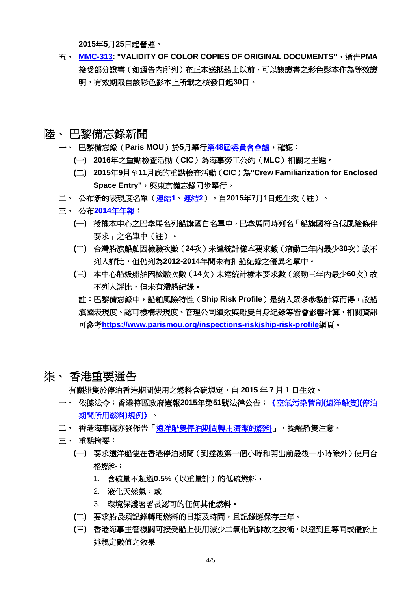**2015**年**5**月**25**日起營運。

- 五、 **[MMC-313:](http://www.crclass.org/chinese/download/ti-tc/79/5-5%20Circular-MMC-313.pdf) "VALIDITY OF COLOR COPIES OF ORIGINAL DOCUMENTS"**,通告**PMA** 接受部分證書(如通告內所列)在正本送抵船上以前,可以該證書之彩色影本作為等效證 明,有效期限自該彩色影本上所載之核發日起**30**日。
- <span id="page-3-0"></span>陸、 巴黎備忘錄新聞
	- 一、 巴黎備忘錄(**Paris MOU**)於**5**月舉行第**48**[屆委員會會議,](https://www.parismou.org/paris-mou-agreed-inspection-campaign-maritime-labour-convention-2016)確認:
		- **(**一**) 2016**年之重點檢查活動(**CIC**)為海事勞工公約(**MLC**)相關之主題。
		- **(**二**) 2015**年**9**月至**11**月底的重點檢查活動(**CIC**)為**"Crew Familiarization for Enclosed**  Space Entry",與東京備忘錄同步舉行。
	- 二、 公布新的表現度名單[\(連結](http://www.crclass.org/chinese/download/ti-tc/79/6-1%2020150608%20Press%20release%20performance%20lists%202014%20(final).pdf)**1**[、連結](http://www.crclass.org/chinese/download/ti-tc/79/6-2%20Performance%20lists%202014%20WGB%20&%20RO.pdf)**2**),自**2015**年**7**月**1**日起生效(註)。
	- 三、 公布**2014**[年年報:](https://www.parismou.org/publications-category/annual-reports)
		- **(**一**)** 授權本中心之巴拿馬名列船旗國白名單中,巴拿馬同時列名「船旗國符合低風險條件 要求」之名單中(註)。
		- **(**二**)** 台灣船旗船舶因檢驗次數(**24**次)未達統計樣本要求數(滾動三年內最少**30**次)故不 列入評比,但仍列為**2012-2014**年間未有扣船紀錄之優異名單中。
		- **(**三**)** 本中心船級船舶因檢驗次數(**14**次)未達統計樣本要求數(滾動三年內最少**60**次)故 不列入評比,但未有滯船紀錄。
			- 註:巴黎備忘錄中,船舶風險特性(**Ship Risk Profile**)是納入眾多參數計算而得,故船 旗國表現度、認可機構表現度、管理公司績效與船隻自身紀錄等皆會影響計算,相關資訊 可參考**<https://www.parismou.org/inspections-risk/ship-risk-profile>**網頁。
- <span id="page-3-1"></span>柒、 香港重要通告

有關船隻於停泊香港期間使用之燃料含硫規定,自 **2015** 年 **7** 月 **1** 日生效。

- 一、 依據法令:香港特區政府憲報**2015**年第**51**號法律公告[:《空氣污染管制](http://www.crclass.org/chinese/download/ti-tc/79/7-1%20Air%20Pollution%20Control%20(Ocean%20Going%20Vessels)%20(Fuel%20at%20Berth)%20Regulation.pdf)**(**遠洋船隻**)(**停泊 [期間所用燃料](http://www.crclass.org/chinese/download/ti-tc/79/7-1%20Air%20Pollution%20Control%20(Ocean%20Going%20Vessels)%20(Fuel%20at%20Berth)%20Regulation.pdf)**)**規例》。
- 二、 香港海事處亦發佈告[「遠洋船隻停泊期間轉用清潔的燃料」](http://www.crclass.org/chinese/download/ti-tc/79/7-2%20Switch%20to%20Clean%20Fuel%20While%20At%20Berth%20for%20Ocean-Going%20Vessels%20.pdf),提醒船隻注意。
- 三、 重點摘要:
	- **(**一**)** 要求遠洋船隻在香港停泊期間(到達後第一個小時和開出前最後一小時除外)使用合 格燃料:
		- 1. 含硫量不超過**0.5%**(以重量計)的低硫燃料、
		- 2. 液化天然氣,或
		- 3. 環境保護署署長認可的任何其他燃料。
	- **(**二**)** 要求船長須記錄轉用燃料的日期及時間,且記錄應保存三年。
	- **(**三**)** 香港海事主管機關可接受船上使用減少二氧化硫排放之技術,以達到且等同或優於上 述規定數值之效果